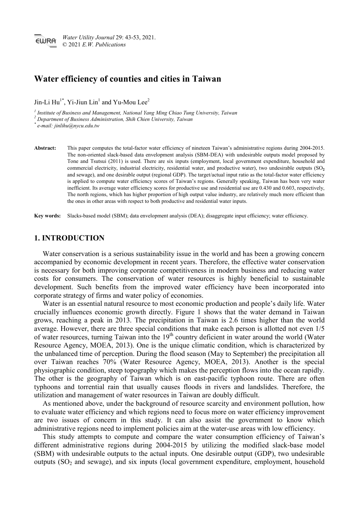# **Water efficiency of counties and cities in Taiwan**

Jin-Li  $\text{Hu}^{1*}$ , Yi-Jiun Lin<sup>1</sup> and Yu-Mou Lee<sup>2</sup>

*<sup>1</sup> Institute of Business and Management, National Yang Ming Chiao Tung University, Taiwan*

*<sup>2</sup> Department of Business Administration, Shih Chien University, Taiwan*

*\* e-mail: jinlihu@nycu.edu.tw*

**Abstract:** This paper computes the total-factor water efficiency of nineteen Taiwan's administrative regions during 2004-2015. The non-oriented slack-based data envelopment analysis (SBM-DEA) with undesirable outputs model proposed by Tone and Tsutsui (2011) is used. There are six inputs (employment, local government expenditure, household and commercial electricity, industrial electricity, residential water, and productive water), two undesirable outputs (SO<sub>2</sub><sup>2</sup>) and sewage), and one desirable output (regional GDP). The target/actual input ratio as the total-factor water efficiency is applied to compute water efficiency scores of Taiwan's regions. Generally speaking, Taiwan has been very water inefficient. Its average water efficiency scores for productive use and residential use are 0.430 and 0.603, respectively, The north regions, which has higher proportion of high output value industry, are relatively much more efficient than the ones in other areas with respect to both productive and residential water inputs.

**Key words:** Slacks-based model (SBM); data envelopment analysis (DEA); disaggregate input efficiency; water efficiency.

# **1. INTRODUCTION**

Water conservation is a serious sustainability issue in the world and has been a growing concern accompanied by economic development in recent years. Therefore, the effective water conservation is necessary for both improving corporate competitiveness in modern business and reducing water costs for consumers. The conservation of water resources is highly beneficial to sustainable development. Such benefits from the improved water efficiency have been incorporated into corporate strategy of firms and water policy of economies.

Water is an essential natural resource to most economic production and people's daily life. Water crucially influences economic growth directly. Figure 1 shows that the water demand in Taiwan grows, reaching a peak in 2013. The precipitation in Taiwan is 2.6 times higher than the world average. However, there are three special conditions that make each person is allotted not even 1/5 of water resources, turning Taiwan into the 19<sup>th</sup> country deficient in water around the world (Water Resource Agency, MOEA, 2013). One is the unique climatic condition, which is characterized by the unbalanced time of perception. During the flood season (May to September) the precipitation all over Taiwan reaches 70% (Water Resource Agency, MOEA, 2013). Another is the special physiographic condition, steep topography which makes the perception flows into the ocean rapidly. The other is the geography of Taiwan which is on east-pacific typhoon route. There are often typhoons and torrential rain that usually causes floods in rivers and landslides. Therefore, the utilization and management of water resources in Taiwan are doubly difficult.

As mentioned above, under the background of resource scarcity and environment pollution, how to evaluate water efficiency and which regions need to focus more on water efficiency improvement are two issues of concern in this study. It can also assist the government to know which administrative regions need to implement policies aim at the water-use areas with low efficiency.

This study attempts to compute and compare the water consumption efficiency of Taiwan's different administrative regions during 2004-2015 by utilizing the modified slack-base model (SBM) with undesirable outputs to the actual inputs. One desirable output (GDP), two undesirable outputs  $(SO<sub>2</sub>$  and sewage), and six inputs (local government expenditure, employment, household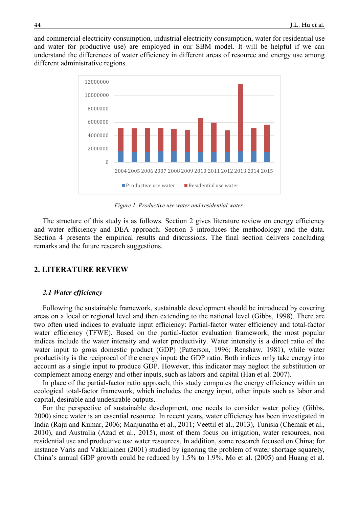and commercial electricity consumption, industrial electricity consumption, water for residential use and water for productive use) are employed in our SBM model. It will be helpful if we can understand the differences of water efficiency in different areas of resource and energy use among different administrative regions.



*Figure 1. Productive use water and residential water.*

The structure of this study is as follows. Section 2 gives literature review on energy efficiency and water efficiency and DEA approach. Section 3 introduces the methodology and the data. Section 4 presents the empirical results and discussions. The final section delivers concluding remarks and the future research suggestions.

# **2. LITERATURE REVIEW**

### *2.1 Water efficiency*

Following the sustainable framework, sustainable development should be introduced by covering areas on a local or regional level and then extending to the national level (Gibbs, 1998). There are two often used indices to evaluate input efficiency: Partial-factor water efficiency and total-factor water efficiency (TFWE). Based on the partial-factor evaluation framework, the most popular indices include the water intensity and water productivity. Water intensity is a direct ratio of the water input to gross domestic product (GDP) (Patterson, 1996; Renshaw, 1981), while water productivity is the reciprocal of the energy input: the GDP ratio. Both indices only take energy into account as a single input to produce GDP. However, this indicator may neglect the substitution or complement among energy and other inputs, such as labors and capital (Han et al. 2007).

In place of the partial-factor ratio approach, this study computes the energy efficiency within an ecological total-factor framework, which includes the energy input, other inputs such as labor and capital, desirable and undesirable outputs.

For the perspective of sustainable development, one needs to consider water policy (Gibbs, 2000) since water is an essential resource. In recent years, water efficiency has been investigated in India (Raju and Kumar, 2006; Manjunatha et al., 2011; Veettil et al., 2013), Tunisia (Chemak et al., 2010), and Australia (Azad et al., 2015), most of them focus on irrigation, water resources, non residential use and productive use water resources. In addition, some research focused on China; for instance Varis and Vakkilainen (2001) studied by ignoring the problem of water shortage squarely, China's annual GDP growth could be reduced by 1.5% to 1.9%. Mo et al. (2005) and Huang et al.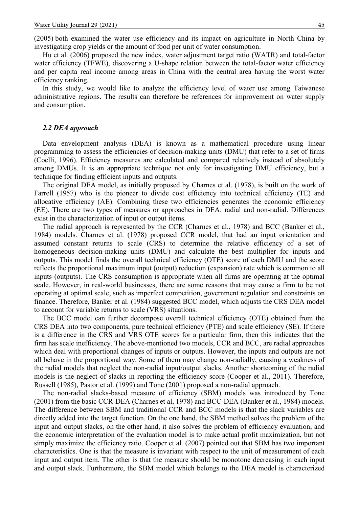(2005) both examined the water use efficiency and its impact on agriculture in North China by investigating crop yields or the amount of food per unit of water consumption.

Hu et al. (2006) proposed the new index, water adjustment target ratio (WATR) and total-factor water efficiency (TFWE), discovering a U-shape relation between the total-factor water efficiency and per capita real income among areas in China with the central area having the worst water efficiency ranking.

In this study, we would like to analyze the efficiency level of water use among Taiwanese administrative regions. The results can therefore be references for improvement on water supply and consumption.

## *2.2 DEA approach*

Data envelopment analysis (DEA) is known as a mathematical procedure using linear programming to assess the efficiencies of decision-making units (DMU) that refer to a set of firms (Coelli, 1996). Efficiency measures are calculated and compared relatively instead of absolutely among DMUs. It is an appropriate technique not only for investigating DMU efficiency, but a technique for finding efficient inputs and outputs.

The original DEA model, as initially proposed by Charnes et al. (1978), is built on the work of Farrell (1957) who is the pioneer to divide cost efficiency into technical efficiency (TE) and allocative efficiency (AE). Combining these two efficiencies generates the economic efficiency (EE). There are two types of measures or approaches in DEA: radial and non-radial. Differences exist in the characterization of input or output items.

The radial approach is represented by the CCR (Charnes et al., 1978) and BCC (Banker et al., 1984) models. Charnes et al. (1978) proposed CCR model, that had an input orientation and assumed constant returns to scale (CRS) to determine the relative efficiency of a set of homogeneous decision-making units (DMU) and calculate the best multiplier for inputs and outputs. This model finds the overall technical efficiency (OTE) score of each DMU and the score reflects the proportional maximum input (output) reduction (expansion) rate which is common to all inputs (outputs). The CRS consumption is appropriate when all firms are operating at the optimal scale. However, in real-world businesses, there are some reasons that may cause a firm to be not operating at optimal scale, such as imperfect competition, government regulation and constraints on finance. Therefore, Banker et al. (1984) suggested BCC model, which adjusts the CRS DEA model to account for variable returns to scale (VRS) situations.

The BCC model can further decompose overall technical efficiency (OTE) obtained from the CRS DEA into two components, pure technical efficiency (PTE) and scale efficiency (SE). If there is a difference in the CRS and VRS OTE scores for a particular firm, then this indicates that the firm has scale inefficiency. The above-mentioned two models, CCR and BCC, are radial approaches which deal with proportional changes of inputs or outputs. However, the inputs and outputs are not all behave in the proportional way. Some of them may change non-radially, causing a weakness of the radial models that neglect the non-radial input/output slacks. Another shortcoming of the radial models is the neglect of slacks in reporting the efficiency score (Cooper et al., 2011). Therefore, Russell (1985), Pastor et al. (1999) and Tone (2001) proposed a non-radial approach.

The non-radial slacks-based measure of efficiency (SBM) models was introduced by Tone (2001) from the basic CCR-DEA (Charnes et al, 1978) and BCC-DEA (Banker et al., 1984) models. The difference between SBM and traditional CCR and BCC models is that the slack variables are directly added into the target function. On the one hand, the SBM method solves the problem of the input and output slacks, on the other hand, it also solves the problem of efficiency evaluation, and the economic interpretation of the evaluation model is to make actual profit maximization, but not simply maximize the efficiency ratio. Cooper et al. (2007) pointed out that SBM has two important characteristics. One is that the measure is invariant with respect to the unit of measurement of each input and output item. The other is that the measure should be monotone decreasing in each input and output slack. Furthermore, the SBM model which belongs to the DEA model is characterized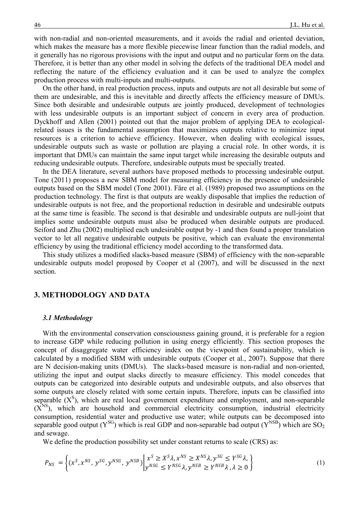with non-radial and non-oriented measurements, and it avoids the radial and oriented deviation, which makes the measure has a more flexible piecewise linear function than the radial models, and it generally has no rigorous provisions with the input and output and no particular form on the data. Therefore, it is better than any other model in solving the defects of the traditional DEA model and reflecting the nature of the efficiency evaluation and it can be used to analyze the complex production process with multi-inputs and multi-outputs.

On the other hand, in real production process, inputs and outputs are not all desirable but some of them are undesirable, and this is inevitable and directly affects the efficiency measure of DMUs. Since both desirable and undesirable outputs are jointly produced, development of technologies with less undesirable outputs is an important subject of concern in every area of production. Dyckhoff and Allen (2001) pointed out that the major problem of applying DEA to ecologicalrelated issues is the fundamental assumption that maximizes outputs relative to minimize input resources is a criterion to achieve efficiency. However, when dealing with ecological issues, undesirable outputs such as waste or pollution are playing a crucial role. In other words, it is important that DMUs can maintain the same input target while increasing the desirable outputs and reducing undesirable outputs. Therefore, undesirable outputs must be specially treated.

In the DEA literature, several authors have proposed methods to processing undesirable output. Tone (2011) proposes a new SBM model for measuring efficiency in the presence of undesirable outputs based on the SBM model (Tone 2001). Färe et al. (1989) proposed two assumptions on the production technology. The first is that outputs are weakly disposable that implies the reduction of undesirable outputs is not free, and the proportional reduction in desirable and undesirable outputs at the same time is feasible. The second is that desirable and undesirable outputs are null-joint that implies some undesirable outputs must also be produced when desirable outputs are produced. Seiford and Zhu (2002) multiplied each undesirable output by -1 and then found a proper translation vector to let all negative undesirable outputs be positive, which can evaluate the environmental efficiency by using the traditional efficiency model according to the transformed data.

This study utilizes a modified slacks-based measure (SBM) of efficiency with the non-separable undesirable outputs model proposed by Cooper et al (2007), and will be discussed in the next section.

# **3. METHODOLOGY AND DATA**

#### *3.1 Methodology*

With the environmental conservation consciousness gaining ground, it is preferable for a region to increase GDP while reducing pollution in using energy efficiently. This section proposes the concept of disaggregate water efficiency index on the viewpoint of sustainability, which is calculated by a modified SBM with undesirable outputs (Cooper et al., 2007). Suppose that there are N decision-making units (DMUs). The slacks-based measure is non-radial and non-oriented, utilizing the input and output slacks directly to measure efficiency. This model concedes that outputs can be categorized into desirable outputs and undesirable outputs, and also observes that some outputs are closely related with some certain inputs. Therefore, inputs can be classified into separable  $(X^S)$ , which are real local government expenditure and employment, and non-separable  $(X<sup>NS</sup>)$ , which are household and commercial electricity consumption, industrial electricity consumption, residential water and productive use water; while outputs can be decomposed into separable good output ( $Y^{SG}$ ) which is real GDP and non-separable bad output ( $Y^{NSB}$ ) which are SO<sub>2</sub> and sewage.

We define the production possibility set under constant returns to scale (CRS) as:

$$
P_{NS} = \left\{ (x^S, x^{NS}, y^{SG}, y^{NSG}, y^{NSB}) \middle| \begin{aligned} x^S &\ge X^S \lambda, x^{NS} \ge X^{NS} \lambda, y^{SG} \le Y^{SG} \lambda, \\ y^{NSG} &\le Y^{NSG} \lambda, y^{NSB} \ge Y^{NSB} \lambda, \lambda \ge 0 \end{aligned} \right\} \tag{1}
$$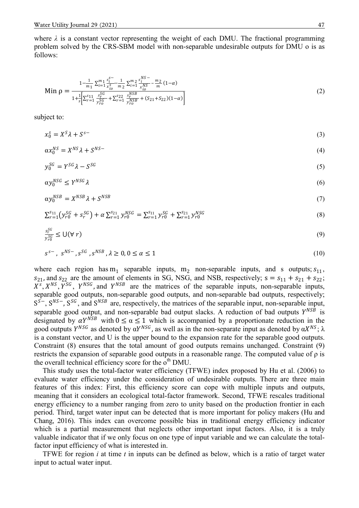where  $\lambda$  is a constant vector representing the weight of each DMU. The fractional programming problem solved by the CRS-SBM model with non-separable undesirable outputs for DMU o is as follows:

$$
\text{Min } \rho = \frac{1 - \frac{1}{m_1} \sum_{i=1}^{m_1} \frac{s_i^{S-}}{x_{io}^{S}} - \frac{1}{m_2} \sum_{i=1}^{m_2} \frac{s_i^{NS}}{x_{io}^{NS}} - \frac{m_2}{m} (1 - \alpha)}{1 + \frac{1}{s} \left[ \sum_{r=1}^{s_1 1} \frac{s_r^{SG}}{y_{ro}^{SG}} + \sum_{r=1}^{s_2 2} \frac{s_r^{NSB}}{y_{ro}^{NSB}} + (S_{21} + S_{22})(1 - \alpha) \right]}
$$
(2)

subject to:

 $x_0^s = X^s \lambda + S^{s-}$  (3)

$$
\alpha x_0^{NS} = X^{NS} \lambda + S^{NS-} \tag{4}
$$

$$
y_0^{SG} = Y^{SG} \lambda - S^{SG} \tag{5}
$$

$$
\alpha y_0^{NSG} \le Y^{NSG} \lambda \tag{6}
$$

$$
\alpha y_0^{NSB} = X^{NSB} \lambda + S^{NSB} \tag{7}
$$

$$
\sum_{r=1}^{s_{11}} \left( y_{r0}^{SG} + s_r^{SG} \right) + \alpha \sum_{r=1}^{s_{21}} y_{r0}^{NSG} = \sum_{r=1}^{s_{11}} y_{r0}^{SG} + \sum_{r=1}^{s_{21}} y_{r0}^{NSG}
$$
(8)

$$
\frac{s_r^{SG}}{y_{r0}^{SG}} \le U(\forall r) \tag{9}
$$

$$
s^{s-}, s^{NS-}, s^{SG}, s^{NSB}, \lambda \ge 0, 0 \le \alpha \le 1
$$
 (10)

where each region has  $m_1$  separable inputs,  $m_2$  non-separable inputs, and s outputs;  $s_{11}$ ,  $s_{21}$ , and  $s_{22}$  are the amount of elements in SG, NSG, and NSB, respectively;  $s = s_{11} + s_{21} + s_{22}$ ;  $X^2$ ,  $X^{NS}$ ,  $Y^{SG}$ ,  $Y^{NSG}$ , and  $Y^{NSB}$  are the matrices of the separable inputs, non-separable inputs, separable good outputs, non-separable good outputs, and non-separable bad outputs, respectively;  $S^{S-}$ ,  $S^{NS}$ ,  $S^{SG}$ , and  $S^{NSB}$  are, respectively, the matrices of the separable input, non-separable input, separable good output, and non-separable bad output slacks. A reduction of bad outputs  $Y^{NSB}$  is designated by  $\alpha Y^{NSB}$  with  $0 \le \alpha \le 1$  which is accompanied by a proportionate reduction in the good outputs  $Y^{NSG}$  as denoted by  $\alpha Y^{NSG}$ , as well as in the non-separate input as denoted by  $\alpha X^{NS}$ ;  $\lambda$ is a constant vector, and U is the upper bound to the expansion rate for the separable good outputs. Constraint (8) ensures that the total amount of good outputs remains unchanged. Constraint (9) restricts the expansion of separable good outputs in a reasonable range. The computed value of ρ is the overall technical efficiency score for the o<sup>th</sup> DMU.

This study uses the total-factor water efficiency (TFWE) index proposed by Hu et al. (2006) to evaluate water efficiency under the consideration of undesirable outputs. There are three main features of this index: First, this efficiency score can cope with multiple inputs and outputs, meaning that it considers an ecological total-factor framework. Second, TFWE rescales traditional energy efficiency to a number ranging from zero to unity based on the production frontier in each period. Third, target water input can be detected that is more important for policy makers (Hu and Chang, 2016). This index can overcome possible bias in traditional energy efficiency indicator which is a partial measurement that neglects other important input factors. Also, it is a truly valuable indicator that if we only focus on one type of input variable and we can calculate the totalfactor input efficiency of what is interested in.

TFWE for region *i* at time *t* in inputs can be defined as below, which is a ratio of target water input to actual water input.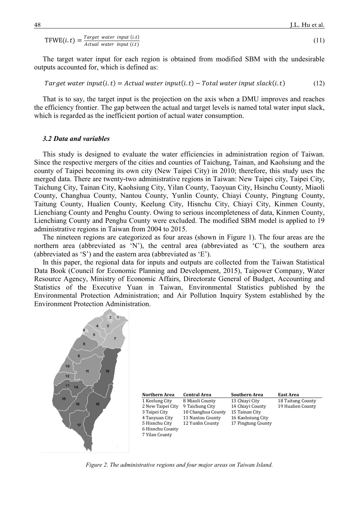$$
TFWE(i, t) = \frac{Target\ water\ input\ (i.t)}{Actual\ water\ input\ (i.t)}
$$
\n(11)

The target water input for each region is obtained from modified SBM with the undesirable outputs accounted for, which is defined as:

Target water input(i, t) = Actual water input(i, t) – Total water input slack(i, t) (12)

That is to say, the target input is the projection on the axis when a DMU improves and reaches the efficiency frontier. The gap between the actual and target levels is named total water input slack, which is regarded as the inefficient portion of actual water consumption.

### *3.2 Data and variables*

This study is designed to evaluate the water efficiencies in administration region of Taiwan. Since the respective mergers of the cities and counties of Taichung, Tainan, and Kaohsiung and the county of Taipei becoming its own city (New Taipei City) in 2010; therefore, this study uses the merged data. There are twenty-two administrative regions in Taiwan: New Taipei city, Taipei City, Taichung City, Tainan City, Kaohsiung City, Yilan County, Taoyuan City, Hsinchu County, Miaoli County, Changhua County, Nantou County, Yunlin County, Chiayi County, Pingtung County, Taitung County, Hualien County, Keelung City, Hisnchu City, Chiayi City, Kinmen County, Lienchiang County and Penghu County. Owing to serious incompleteness of data, Kinmen County, Lienchiang County and Penghu County were excluded. The modified SBM model is applied to 19 administrative regions in Taiwan from 2004 to 2015.

The nineteen regions are categorized as four areas (shown in Figure 1). The four areas are the northern area (abbreviated as 'N'), the central area (abbreviated as 'C'), the southern area (abbreviated as 'S') and the eastern area (abbreviated as 'E').

In this paper, the regional data for inputs and outputs are collected from the Taiwan Statistical Data Book (Council for Economic Planning and Development, 2015), Taipower Company, Water Resource Agency, Ministry of Economic Affairs, Directorate General of Budget, Accounting and Statistics of the Executive Yuan in Taiwan, Environmental Statistics published by the Environmental Protection Administration; and Air Pollution Inquiry System established by the Environment Protection Administration.



| Northern Area     | <b>Central Area</b> | <b>Southern Area</b> | <b>East Area</b>  |
|-------------------|---------------------|----------------------|-------------------|
| 1 Keelung City    | 8 Miaoli County     | 13 Chiavi City       | 18 Taitung County |
| 2 New Taipei City | 9 Taichung City     | 14 Chiayi County     | 19 Hualien County |
| 3 Taipei City     | 10 Changhua County  | 15 Tainan City       |                   |
| 4 Taoyuan City    | 11 Nantou County    | 16 Kaohsiung City    |                   |
| 5 Hisnchu City    | 12 Yunlin County    | 17 Pingtung County   |                   |
| 6 Hisnchu County  |                     |                      |                   |
| 7 Yilan County    |                     |                      |                   |
|                   |                     |                      |                   |

*Figure 2. The administrative regions and four major areas on Taiwan Island.*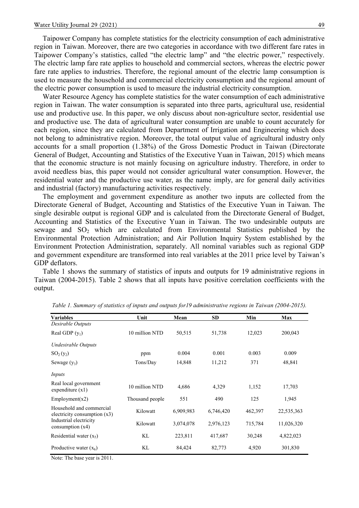Taipower Company has complete statistics for the electricity consumption of each administrative region in Taiwan. Moreover, there are two categories in accordance with two different fare rates in Taipower Company's statistics, called "the electric lamp" and "the electric power," respectively. The electric lamp fare rate applies to household and commercial sectors, whereas the electric power fare rate applies to industries. Therefore, the regional amount of the electric lamp consumption is used to measure the household and commercial electricity consumption and the regional amount of the electric power consumption is used to measure the industrial electricity consumption.

Water Resource Agency has complete statistics for the water consumption of each administrative region in Taiwan. The water consumption is separated into three parts, agricultural use, residential use and productive use. In this paper, we only discuss about non-agriculture sector, residential use and productive use. The data of agricultural water consumption are unable to count accurately for each region, since they are calculated from Department of Irrigation and Engineering which does not belong to administrative region. Moreover, the total output value of agricultural industry only accounts for a small proportion (1.38%) of the Gross Domestic Product in Taiwan (Directorate General of Budget, Accounting and Statistics of the Executive Yuan in Taiwan, 2015) which means that the economic structure is not mainly focusing on agriculture industry. Therefore, in order to avoid needless bias, this paper would not consider agricultural water consumption. However, the residential water and the productive use water, as the name imply, are for general daily activities and industrial (factory) manufacturing activities respectively.

The employment and government expenditure as another two inputs are collected from the Directorate General of Budget, Accounting and Statistics of the Executive Yuan in Taiwan. The single desirable output is regional GDP and is calculated from the Directorate General of Budget, Accounting and Statistics of the Executive Yuan in Taiwan. The two undesirable outputs are sewage and  $SO<sub>2</sub>$  which are calculated from Environmental Statistics published by the Environmental Protection Administration; and Air Pollution Inquiry System established by the Environment Protection Administration, separately. All nominal variables such as regional GDP and government expenditure are transformed into real variables at the 2011 price level by Taiwan's GDP deflators.

Table 1 shows the summary of statistics of inputs and outputs for 19 administrative regions in Taiwan (2004-2015). Table 2 shows that all inputs have positive correlation coefficients with the output.

| <b>Variables</b>                                           | Unit            | Mean      | <b>SD</b> | Min     | <b>Max</b> |  |
|------------------------------------------------------------|-----------------|-----------|-----------|---------|------------|--|
| Desirable Outputs                                          |                 |           |           |         |            |  |
| Real GDP $(y_1)$                                           | 10 million NTD  | 50,515    | 51,738    | 12,023  | 200,043    |  |
| Undesirable Outputs                                        |                 |           |           |         |            |  |
| $SO_2(y_2)$                                                | ppm             | 0.004     | 0.001     | 0.003   | 0.009      |  |
| Sewage $(y_3)$                                             | Tons/Day        | 14,848    | 11,212    | 371     | 48,841     |  |
| Inputs                                                     |                 |           |           |         |            |  |
| Real local government<br>expenditure $(x1)$                | 10 million NTD  | 4,686     | 4,329     | 1,152   | 17,703     |  |
| Employment(x2)                                             | Thousand people | 551       | 490       | 125     | 1,945      |  |
| Household and commercial<br>electricity consumption $(x3)$ | Kilowatt        | 6,909,983 | 6,746,420 | 462,397 | 22,535,363 |  |
| Industrial electricity<br>consumption $(x4)$               | Kilowatt        | 3,074,078 | 2,976,123 | 715,784 | 11,026,320 |  |
| Residential water $(x5)$                                   | KL              | 223,811   | 417,687   | 30,248  | 4,822,023  |  |
| Productive water $(x_6)$                                   | KL              | 84,424    | 82,773    | 4,920   | 301,830    |  |

*Table 1. Summary of statistics of inputs and outputs for19 administrative regions in Taiwan (2004-2015).*

Note: The base year is 2011.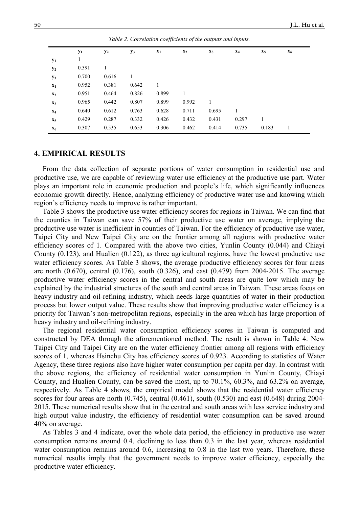|                | $y_1$ | $y_2$ | $y_3$ | $\mathbf{x}_1$ | $\mathbf{x}_2$ | $\mathbf{x}_3$ | $\mathbf{x}_4$ | $x_5$ | $\mathbf{x}_6$ |
|----------------|-------|-------|-------|----------------|----------------|----------------|----------------|-------|----------------|
| $y_1$          |       |       |       |                |                |                |                |       |                |
| $y_2$          | 0.391 | 1     |       |                |                |                |                |       |                |
| $y_3$          | 0.700 | 0.616 |       |                |                |                |                |       |                |
| $\mathbf{x}_1$ | 0.952 | 0.381 | 0.642 |                |                |                |                |       |                |
| $\mathbf{x}_2$ | 0.951 | 0.464 | 0.826 | 0.899          | 1              |                |                |       |                |
| $\mathbf{x}_3$ | 0.965 | 0.442 | 0.807 | 0.899          | 0.992          | 1              |                |       |                |
| $X_4$          | 0.640 | 0.612 | 0.763 | 0.628          | 0.711          | 0.695          | 1              |       |                |
| $X_5$          | 0.429 | 0.287 | 0.332 | 0.426          | 0.432          | 0.431          | 0.297          | 1     |                |
| $\mathbf{x}_6$ | 0.307 | 0.535 | 0.653 | 0.306          | 0.462          | 0.414          | 0.735          | 0.183 | 1              |

*Table 2. Correlation coefficients of the outputs and inputs.*

### **4. EMPIRICAL RESULTS**

From the data collection of separate portions of water consumption in residential use and productive use, we are capable of reviewing water use efficiency at the productive use part. Water plays an important role in economic production and people's life, which significantly influences economic growth directly. Hence, analyzing efficiency of productive water use and knowing which region's efficiency needs to improve is rather important.

Table 3 shows the productive use water efficiency scores for regions in Taiwan. We can find that the counties in Taiwan can save 57% of their productive use water on average, implying the productive use water is inefficient in counties of Taiwan. For the efficiency of productive use water, Taipei City and New Taipei City are on the frontier among all regions with productive water efficiency scores of 1. Compared with the above two cities, Yunlin County (0.044) and Chiayi County (0.123), and Hualien (0.122), as three agricultural regions, have the lowest productive use water efficiency scores. As Table 3 shows, the average productive efficiency scores for four areas are north (0.670), central (0.176), south (0.326), and east (0.479) from 2004-2015. The average productive water efficiency scores in the central and south areas are quite low which may be explained by the industrial structures of the south and central areas in Taiwan. These areas focus on heavy industry and oil-refining industry, which needs large quantities of water in their production process but lower output value. These results show that improving productive water efficiency is a priority for Taiwan's non-metropolitan regions, especially in the area which has large proportion of heavy industry and oil-refining industry.

The regional residential water consumption efficiency scores in Taiwan is computed and constructed by DEA through the aforementioned method. The result is shown in Table 4. New Taipei City and Taipei City are on the water efficiency frontier among all regions with efficiency scores of 1, whereas Hsinchu City has efficiency scores of 0.923. According to statistics of Water Agency, these three regions also have higher water consumption per capita per day. In contrast with the above regions, the efficiency of residential water consumption in Yunlin County, Chiayi County, and Hualien County, can be saved the most, up to 70.1%, 60.3%, and 63.2% on average, respectively. As Table 4 shows, the empirical model shows that the residential water efficiency scores for four areas are north (0.745), central (0.461), south (0.530) and east (0.648) during 2004-2015. These numerical results show that in the central and south areas with less service industry and high output value industry, the efficiency of residential water consumption can be saved around 40% on average.

As Tables 3 and 4 indicate, over the whole data period, the efficiency in productive use water consumption remains around 0.4, declining to less than 0.3 in the last year, whereas residential water consumption remains around 0.6, increasing to 0.8 in the last two years. Therefore, these numerical results imply that the government needs to improve water efficiency, especially the productive water efficiency.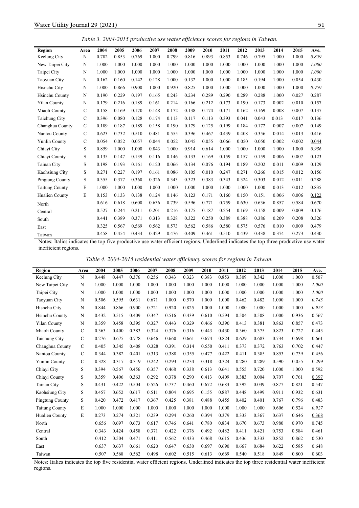*Table 3. 2004-2015 productive use water efficiency scores for regions in Taiwan.*

| Region                | Area          | 2004  | 2005  | 2006  | 2007  | 2008  | 2009  | 2010  | 2011  | 2012  | 2013  | 2014  | 2015  | Ave.  |
|-----------------------|---------------|-------|-------|-------|-------|-------|-------|-------|-------|-------|-------|-------|-------|-------|
| Keelung City          | N             | 0.782 | 0.853 | 0.769 | 1.000 | 0.799 | 0.816 | 0.893 | 0.853 | 0.746 | 0.795 | 1.000 | 1.000 | 0.859 |
| New Taipei City       | N             | 1.000 | 1.000 | 1.000 | 1.000 | 1.000 | 1.000 | 1.000 | 1.000 | 1.000 | 1.000 | 1.000 | 1.000 | 1.000 |
| Taipei City           | N             | 1.000 | 1.000 | 1.000 | 1.000 | 1.000 | 1.000 | 1.000 | 1.000 | 1.000 | 1.000 | 1.000 | 1.000 | 1.000 |
| Taoyuan City          | N             | 0.162 | 0.160 | 0.142 | 0.128 | 1.000 | 0.132 | 1.000 | 1.000 | 0.185 | 0.194 | 1.000 | 0.054 | 0.430 |
| Hisnchu City          | $\mathbf N$   | 1.000 | 0.866 | 0.900 | 1.000 | 0.920 | 0.825 | 1.000 | 1.000 | 1.000 | 1.000 | 1.000 | 1.000 | 0.959 |
| Hsinchu County        | N             | 0.190 | 0.229 | 0.197 | 0.165 | 0.243 | 0.234 | 0.289 | 0.290 | 0.289 | 0.288 | 1.000 | 0.027 | 0.287 |
| <b>Yilan County</b>   | N             | 0.179 | 0.216 | 0.189 | 0.161 | 0.214 | 0.166 | 0.212 | 0.173 | 0.190 | 0.173 | 0.002 | 0.010 | 0.157 |
| Miaoli County         | $\mathcal{C}$ | 0.158 | 0.169 | 0.170 | 0.148 | 0.172 | 0.138 | 0.174 | 0.171 | 0.162 | 0.169 | 0.008 | 0.007 | 0.137 |
| Taichung City         | $\mathcal{C}$ | 0.396 | 0.080 | 0.128 | 0.174 | 0.113 | 0.117 | 0.113 | 0.393 | 0.041 | 0.043 | 0.013 | 0.017 | 0.136 |
| Changhua County       | $\mathbf C$   | 0.189 | 0.187 | 0.189 | 0.158 | 0.190 | 0.179 | 0.125 | 0.199 | 0.184 | 0.172 | 0.007 | 0.007 | 0.149 |
| Nantou County         | $\mathcal{C}$ | 0.623 | 0.732 | 0.510 | 0.481 | 0.555 | 0.396 | 0.467 | 0.439 | 0.408 | 0.356 | 0.014 | 0.013 | 0.416 |
| Yunlin County         | $\mathbf C$   | 0.054 | 0.052 | 0.057 | 0.044 | 0.052 | 0.045 | 0.055 | 0.066 | 0.050 | 0.050 | 0.002 | 0.002 | 0.044 |
| Chiavi City           | S             | 0.859 | 1.000 | 1.000 | 0.843 | 1.000 | 0.914 | 0.614 | 1.000 | 1.000 | 1.000 | 1.000 | 1.000 | 0.936 |
| Chiayi County         | $\mathbf S$   | 0.135 | 0.147 | 0.139 | 0.116 | 0.146 | 0.133 | 0.169 | 0.159 | 0.157 | 0.159 | 0.006 | 0.007 | 0.123 |
| Tainan City           | S             | 0.198 | 0.193 | 0.161 | 0.120 | 0.066 | 0.134 | 0.076 | 0.194 | 0.189 | 0.202 | 0.011 | 0.009 | 0.129 |
| Kaohsiung City        | S             | 0.271 | 0.227 | 0.197 | 0.161 | 0.086 | 0.105 | 0.010 | 0.247 | 0.271 | 0.266 | 0.015 | 0.012 | 0.156 |
| Pingtung County       | S             | 0.355 | 0.377 | 0.360 | 0.326 | 0.343 | 0.323 | 0.383 | 0.343 | 0.324 | 0.303 | 0.012 | 0.011 | 0.288 |
| <b>Taitung County</b> | E             | 1.000 | 1.000 | 1.000 | 1.000 | 1.000 | 1.000 | 1.000 | 1.000 | 1.000 | 1.000 | 0.013 | 0.012 | 0.835 |
| Hualien County        | E             | 0.153 | 0.133 | 0.138 | 0.124 | 0.146 | 0.123 | 0.171 | 0.160 | 0.150 | 0.151 | 0.006 | 0.006 | 0.122 |
| North                 |               | 0.616 | 0.618 | 0.600 | 0.636 | 0.739 | 0.596 | 0.771 | 0.759 | 0.630 | 0.636 | 0.857 | 0.584 | 0.670 |
| Central               |               | 0.527 | 0.244 | 0.211 | 0.201 | 0.216 | 0.175 | 0.187 | 0.254 | 0.169 | 0.158 | 0.009 | 0.009 | 0.176 |
| South                 |               | 0.441 | 0.389 | 0.371 | 0.313 | 0.328 | 0.322 | 0.250 | 0.389 | 0.388 | 0.386 | 0.209 | 0.208 | 0.326 |
| East                  |               | 0.325 | 0.567 | 0.569 | 0.562 | 0.573 | 0.562 | 0.586 | 0.580 | 0.575 | 0.576 | 0.010 | 0.009 | 0.479 |
| Taiwan                |               | 0.458 | 0.454 | 0.434 | 0.429 | 0.476 | 0.409 | 0.461 | 0.510 | 0.439 | 0.438 | 0.374 | 0.273 | 0.430 |

Notes: Italics indicates the top five productive use water efficient regions. Underlined indicates the top three productive use water inefficient regions.

|  | Table 4. 2004-2015 residential water efficiency scores for regions in Taiwan. |
|--|-------------------------------------------------------------------------------|

| Region                | Area          | 2004  | 2005  | 2006  | 2007  | 2008  | 2009  | 2010  | 2011  | 2012  | 2013  | 2014  | 2015  | Ave.  |
|-----------------------|---------------|-------|-------|-------|-------|-------|-------|-------|-------|-------|-------|-------|-------|-------|
| Keelung City          | N             | 0.448 | 0.447 | 0.376 | 0.256 | 0.343 | 0.323 | 0.383 | 0.853 | 0.309 | 0.342 | 1.000 | 1.000 | 0.507 |
| New Taipei City       | N             | 1.000 | 1.000 | 1.000 | 1.000 | 1.000 | 1.000 | 1.000 | 1.000 | 1.000 | 1.000 | 1.000 | 1.000 | 1.000 |
| Taipei City           | N             | 1.000 | 1.000 | 1.000 | 1.000 | 1.000 | 1.000 | 1.000 | 1.000 | 1.000 | 1.000 | 1.000 | 1.000 | 1.000 |
| Taoyuan City          | N             | 0.506 | 0.595 | 0.631 | 0.671 | 1.000 | 0.570 | 1.000 | 1.000 | 0.462 | 0.482 | 1.000 | 1.000 | 0.743 |
| Hisnchu City          | N             | 0.844 | 0.866 | 0.900 | 0.721 | 0.920 | 0.825 | 1.000 | 1.000 | 1.000 | 1.000 | 1.000 | 1.000 | 0.923 |
| <b>Hsinchu County</b> | N             | 0.432 | 0.515 | 0.409 | 0.347 | 0.516 | 0.439 | 0.610 | 0.594 | 0.504 | 0.508 | 1.000 | 0.936 | 0.567 |
| <b>Yilan County</b>   | N             | 0.359 | 0.458 | 0.395 | 0.327 | 0.443 | 0.329 | 0.466 | 0.390 | 0.413 | 0.381 | 0.863 | 0.857 | 0.473 |
| Miaoli County         | C             | 0.363 | 0.400 | 0.383 | 0.324 | 0.376 | 0.316 | 0.443 | 0.430 | 0.360 | 0.375 | 0.823 | 0.727 | 0.443 |
| Taichung City         | $\mathcal{C}$ | 0.276 | 0.675 | 0.778 | 0.646 | 0.660 | 0.661 | 0.674 | 0.824 | 0.629 | 0.683 | 0.734 | 0.698 | 0.661 |
| Changhua County       | C             | 0.405 | 0.345 | 0.408 | 0.328 | 0.391 | 0.314 | 0.550 | 0.411 | 0.373 | 0.372 | 0.763 | 0.702 | 0.447 |
| Nantou County         | $\mathcal{C}$ | 0.344 | 0.382 | 0.401 | 0.313 | 0.388 | 0.355 | 0.477 | 0.422 | 0.411 | 0.385 | 0.853 | 0.739 | 0.456 |
| <b>Yunlin County</b>  | C             | 0.328 | 0.317 | 0.319 | 0.242 | 0.293 | 0.234 | 0.318 | 0.324 | 0.280 | 0.289 | 0.590 | 0.055 | 0.299 |
| Chiavi City           | S             | 0.394 | 0.567 | 0.456 | 0.357 | 0.468 | 0.338 | 0.613 | 0.641 | 0.555 | 0.720 | 1.000 | 1.000 | 0.592 |
| Chiayi County         | S             | 0.359 | 0.406 | 0.363 | 0.292 | 0.378 | 0.290 | 0.413 | 0.409 | 0.383 | 0.004 | 0.707 | 0.761 | 0.397 |
| Tainan City           | S             | 0.431 | 0.422 | 0.504 | 0.526 | 0.737 | 0.460 | 0.672 | 0.683 | 0.392 | 0.039 | 0.877 | 0.821 | 0.547 |
| Kaohsiung City        | S             | 0.457 | 0.652 | 0.617 | 0.511 | 0.804 | 0.695 | 0.155 | 0.887 | 0.448 | 0.499 | 0.911 | 0.932 | 0.631 |
| Pingtung County       | S             | 0.420 | 0.472 | 0.417 | 0.367 | 0.425 | 0.381 | 0.488 | 0.455 | 0.402 | 0.401 | 0.767 | 0.796 | 0.483 |
| <b>Taitung County</b> | E             | 1.000 | 1.000 | 1.000 | 1.000 | 1.000 | 1.000 | 1.000 | 1.000 | 1.000 | 1.000 | 0.606 | 0.524 | 0.927 |
| Hualien County        | E             | 0.273 | 0.274 | 0.321 | 0.239 | 0.294 | 0.260 | 0.394 | 0.379 | 0.333 | 0.367 | 0.637 | 0.646 | 0.368 |
| North                 |               | 0.656 | 0.697 | 0.673 | 0.617 | 0.746 | 0.641 | 0.780 | 0.834 | 0.670 | 0.673 | 0.980 | 0.970 | 0.745 |
| Central               |               | 0.343 | 0.424 | 0.458 | 0.371 | 0.422 | 0.376 | 0.492 | 0.482 | 0.411 | 0.421 | 0.753 | 0.584 | 0.461 |
| South                 |               | 0.412 | 0.504 | 0.471 | 0.411 | 0.562 | 0.433 | 0.468 | 0.615 | 0.436 | 0.333 | 0.852 | 0.862 | 0.530 |
| East                  |               | 0.637 | 0.637 | 0.661 | 0.620 | 0.647 | 0.630 | 0.697 | 0.690 | 0.667 | 0.684 | 0.622 | 0.585 | 0.648 |
| Taiwan                |               | 0.507 | 0.568 | 0.562 | 0.498 | 0.602 | 0.515 | 0.613 | 0.669 | 0.540 | 0.518 | 0.849 | 0.800 | 0.603 |

Notes: Italics indicates the top five residential water efficient regions. Underlined indicates the top three residential water inefficient regions.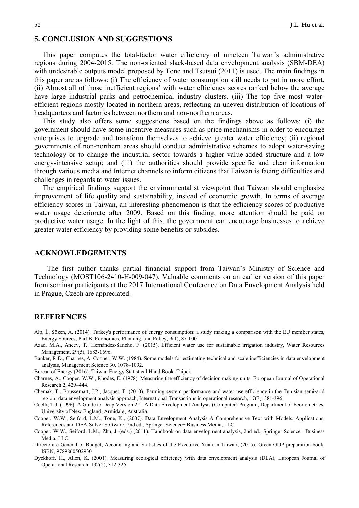# **5. CONCLUSION AND SUGGESTIONS**

This paper computes the total-factor water efficiency of nineteen Taiwan's administrative regions during 2004-2015. The non-oriented slack-based data envelopment analysis (SBM-DEA) with undesirable outputs model proposed by Tone and Tsutsui (2011) is used. The main findings in this paper are as follows: (i) The efficiency of water consumption still needs to put in more effort. (ii) Almost all of those inefficient regions' with water efficiency scores ranked below the average have large industrial parks and petrochemical industry clusters. (iii) The top five most waterefficient regions mostly located in northern areas, reflecting an uneven distribution of locations of headquarters and factories between northern and non-northern areas.

This study also offers some suggestions based on the findings above as follows: (i) the government should have some incentive measures such as price mechanisms in order to encourage enterprises to upgrade and transform themselves to achieve greater water efficiency; (ii) regional governments of non-northern areas should conduct administrative schemes to adopt water-saving technology or to change the industrial sector towards a higher value-added structure and a low energy-intensive setup; and (iii) the authorities should provide specific and clear information through various media and Internet channels to inform citizens that Taiwan is facing difficulties and challenges in regards to water issues.

The empirical findings support the environmentalist viewpoint that Taiwan should emphasize improvement of life quality and sustainability, instead of economic growth. In terms of average efficiency scores in Taiwan, an interesting phenomenon is that the efficiency scores of productive water usage deteriorate after 2009. Based on this finding, more attention should be paid on productive water usage. In the light of this, the government can encourage businesses to achieve greater water efficiency by providing some benefits or subsides.

## **ACKNOWLEDGEMENTS**

The first author thanks partial financial support from Taiwan's Ministry of Science and Technology (MOST106-2410-H-009-047). Valuable comments on an earlier version of this paper from seminar participants at the 2017 International Conference on Data Envelopment Analysis held in Prague, Czech are appreciated.

# **REFERENCES**

- Alp, İ., Sözen, A. (2014). Turkey's performance of energy consumption: a study making a comparison with the EU member states, Energy Sources, Part B: Economics, Planning, and Policy, 9(1), 87-100.
- Azad, M.A., Ancev, T., Hernández-Sancho, F. (2015). Efficient water use for sustainable irrigation industry, Water Resources Management, 29(5), 1683-1696.
- Banker, R.D., Charnes, A. Cooper, W.W. (1984). Some models for estimating technical and scale inefficiencies in data envelopment analysis, Management Science 30, 1078–1092.
- Bureau of Energy (2016). Taiwan Energy Statistical Hand Book. Taipei.
- Charnes, A., Cooper, W.W., Rhodes, E. (1978). Measuring the efficiency of decision making units, European Journal of Operational Research 2, 429–444.
- Chemak, F., Boussemart, J.P., Jacquet, F. (2010). Farming system performance and water use efficiency in the Tunisian semi‐arid region: data envelopment analysis approach, International Transactions in operational research, 17(3), 381-396.
- Coelli, T.J. (1996). A Guide to Deap Version 2.1: A Data Envelopment Analysis (Computer) Program, Department of Econometrics, University of New England, Armidale, Australia.
- Cooper, W.W., Seiford, L.M., Tone, K., (2007). Data Envelopment Analysis A Comprehensive Text with Models, Applications, References and DEA-Solver Software, 2nd ed., Springer Science+ Business Media, LLC.
- Cooper, W.W., Seiford, L.M., Zhu, J. (eds.) (2011). Handbook on data envelopment analysis, 2nd ed., Springer Science+ Business Media, LLC.
- Directorate General of Budget, Accounting and Statistics of the Executive Yuan in Taiwan, (2015). Green GDP preparation book, ISBN, 9789860502930
- Dyckhoff, H., Allen, K. (2001). Measuring ecological efficiency with data envelopment analysis (DEA), European Journal of Operational Research, 132(2), 312-325.